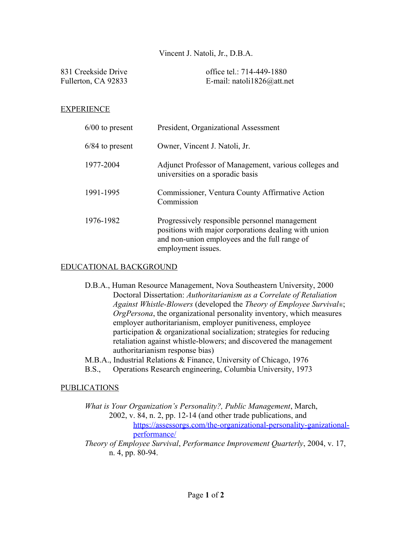## Vincent J. Natoli, Jr., D.B.A.

| 831 Creekside Drive | office tel.: 714-449-1880  |
|---------------------|----------------------------|
| Fullerton, CA 92833 | E-mail: natoli1826@att.net |

### EXPERIENCE

| $6/00$ to present | President, Organizational Assessment                                                                                                                                          |
|-------------------|-------------------------------------------------------------------------------------------------------------------------------------------------------------------------------|
| $6/84$ to present | Owner, Vincent J. Natoli, Jr.                                                                                                                                                 |
| 1977-2004         | Adjunct Professor of Management, various colleges and<br>universities on a sporadic basis                                                                                     |
| 1991-1995         | Commissioner, Ventura County Affirmative Action<br>Commission                                                                                                                 |
| 1976-1982         | Progressively responsible personnel management<br>positions with major corporations dealing with union<br>and non-union employees and the full range of<br>employment issues. |

### EDUCATIONAL BACKGROUND

- D.B.A., Human Resource Management, Nova Southeastern University, 2000 Doctoral Dissertation: *Authoritarianism as a Correlate of Retaliation Against Whistle-Blowers* (developed the *Theory of Employee Survival®*; *OrgPersona*, the organizational personality inventory, which measures employer authoritarianism, employer punitiveness, employee participation & organizational socialization; strategies for reducing retaliation against whistle-blowers; and discovered the management authoritarianism response bias)
- M.B.A., Industrial Relations & Finance, University of Chicago, 1976
- B.S., Operations Research engineering, Columbia University, 1973

#### PUBLICATIONS

*What is Your Organization's Personality?, Public Management*, March, 2002, v. 84, n. 2, pp. 12-14 (and other trade publications, and [https://assessorgs.com/the-organizational-personality-ganizational](https://assessorgs.com/the-organizational-personality-organizational-)performance/ *Theory of Employee Survival*, *Performance Improvement Quarterly*, 2004, v. 17,

n. 4, pp. 80-94.